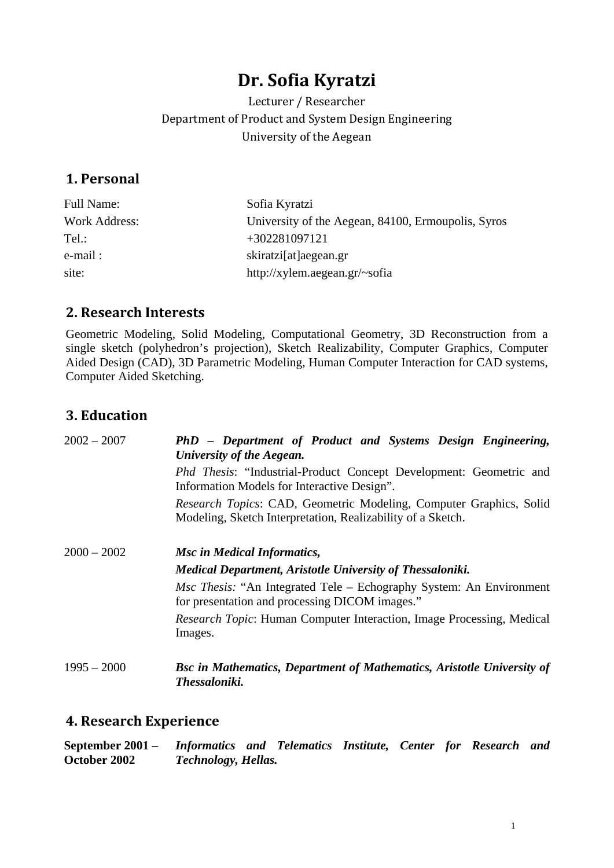# **Dr. Sofia Kyratzi**

Lecturer / Researcher Department of Product and System Design Engineering University of the Aegean

# **1. Personal**

| Full Name:           | Sofia Kyratzi                                      |
|----------------------|----------------------------------------------------|
| <b>Work Address:</b> | University of the Aegean, 84100, Ermoupolis, Syros |
| Tel :                | $+302281097121$                                    |
| e-mail :             | skiratzi[at]aegean.gr                              |
| site:                | http://xylem.aegean.gr/~sofia                      |

# **2. Research Interests**

Geometric Modeling, Solid Modeling, Computational Geometry, 3D Reconstruction from a single sketch (polyhedron's projection), Sketch Realizability, Computer Graphics, Computer Aided Design (CAD), 3D Parametric Modeling, Human Computer Interaction for CAD systems, Computer Aided Sketching.

# **3. Education**

| $2002 - 2007$ | PhD - Department of Product and Systems Design Engineering,<br>University of the Aegean.                                                 |
|---------------|------------------------------------------------------------------------------------------------------------------------------------------|
|               | <i>Phd Thesis:</i> "Industrial-Product Concept Development: Geometric and<br>Information Models for Interactive Design".                 |
|               | <i>Research Topics:</i> CAD, Geometric Modeling, Computer Graphics, Solid<br>Modeling, Sketch Interpretation, Realizability of a Sketch. |
| $2000 - 2002$ | <b>Msc in Medical Informatics,</b>                                                                                                       |
|               | <b>Medical Department, Aristotle University of Thessaloniki.</b>                                                                         |
|               | <i>Msc Thesis:</i> "An Integrated Tele – Echography System: An Environment<br>for presentation and processing DICOM images."             |
|               | <i>Research Topic:</i> Human Computer Interaction, Image Processing, Medical<br>Images.                                                  |
| $1995 - 2000$ | <b>Bsc in Mathematics, Department of Mathematics, Aristotle University of</b><br>Thessaloniki.                                           |

### **4. Research Experience**

| September $2001 -$ | Informatics and Telematics Institute, Center for Research and |  |  |  |  |
|--------------------|---------------------------------------------------------------|--|--|--|--|
| October 2002       | <b>Technology, Hellas.</b>                                    |  |  |  |  |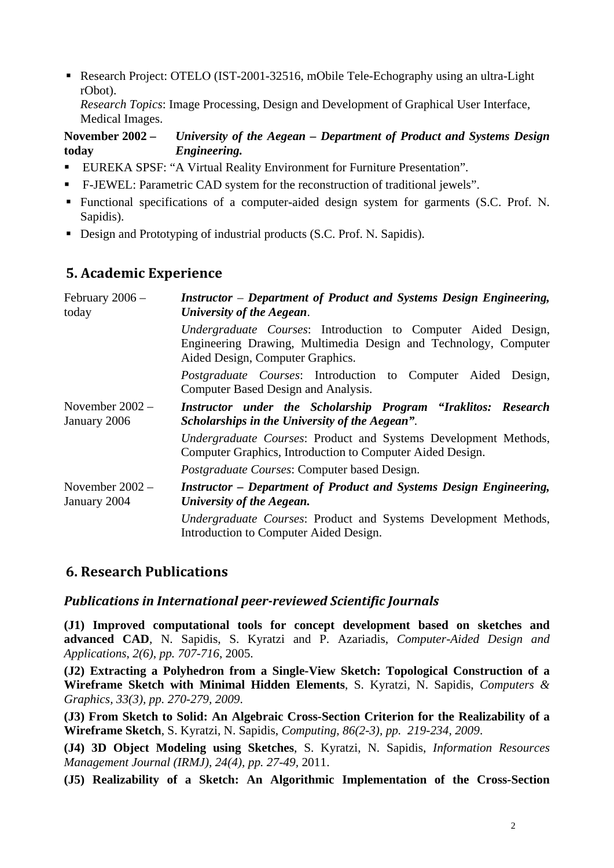■ Research Project: OTELO (IST-2001-32516, mObile Tele-Echography using an ultra-Light rObot).

*Research Topics*: Image Processing, Design and Development of Graphical User Interface, Medical Images.

#### **November 2002 – today** *University of the Aegean – Department of Product and Systems Design Engineering.*

- EUREKA SPSF: "A Virtual Reality Environment for Furniture Presentation".
- F-JEWEL: Parametric CAD system for the reconstruction of traditional jewels".
- Functional specifications of a computer-aided design system for garments (S.C. Prof. Ν. Sapidis).
- Design and Prototyping of industrial products (S.C. Prof. Ν. Sapidis).

# **5. Academic Experience**

| February $2006$ –<br>today        | <b>Instructor</b> – Department of Product and Systems Design Engineering,<br>University of the Aegean.                                                               |  |  |
|-----------------------------------|----------------------------------------------------------------------------------------------------------------------------------------------------------------------|--|--|
|                                   | Undergraduate Courses: Introduction to Computer Aided Design,<br>Engineering Drawing, Multimedia Design and Technology, Computer<br>Aided Design, Computer Graphics. |  |  |
|                                   | <i>Postgraduate Courses:</i> Introduction to Computer Aided Design,<br>Computer Based Design and Analysis.                                                           |  |  |
| November $2002 -$<br>January 2006 | Instructor under the Scholarship Program "Iraklitos: Research<br>Scholarships in the University of the Aegean".                                                      |  |  |
|                                   | Undergraduate Courses: Product and Systems Development Methods,<br>Computer Graphics, Introduction to Computer Aided Design.                                         |  |  |
|                                   | Postgraduate Courses: Computer based Design.                                                                                                                         |  |  |
| November $2002 -$<br>January 2004 | <b>Instructor</b> – Department of Product and Systems Design Engineering,<br>University of the Aegean.                                                               |  |  |
|                                   | Undergraduate Courses: Product and Systems Development Methods,<br>Introduction to Computer Aided Design.                                                            |  |  |

#### **6. Research Publications**

#### *Publications in International peer-reviewed Scientific Journals*

**(J1) Improved computational tools for concept development based on sketches and advanced CAD**, N. Sapidis, S. Kyratzi and P. Azariadis, *Computer-Aided Design and Applications*, *2(6)*, *pp. 707-716*, 2005.

**(J2) Extracting a Polyhedron from a Single-View Sketch: Topological Construction of a Wireframe Sketch with Minimal Hidden Elements**, S. Kyratzi, N. Sapidis, *Computers & Graphics, 33(3), pp. 270-279, 2009*.

**(J3) From Sketch to Solid: An Algebraic Cross-Section Criterion for the Realizability of a Wireframe Sketch**, S. Kyratzi, N. Sapidis, *Computing, 86(2-3), pp. 219-234, 2009*.

**(J4) 3D Object Modeling using Sketches**, S. Kyratzi, N. Sapidis, *Information Resources Management Journal (IRMJ), 24(4), pp. 27-49,* 2011.

**(J5) Realizability of a Sketch: An Algorithmic Implementation of the Cross-Section**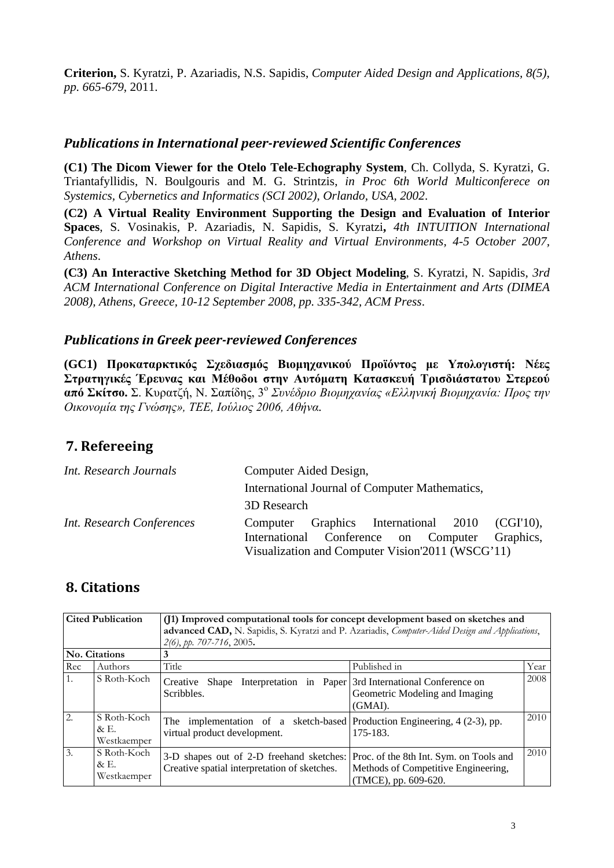**Criterion,** S. Kyratzi, P. Azariadis, N.S. Sapidis, *Computer Aided Design and Applications, 8(5), pp. 665-679*, 2011.

#### *Publications in International peer-reviewed Scientific Conferences*

**(C1) The Dicom Viewer for the Otelo Tele-Echography System**, Ch. Collyda, S. Kyratzi, G. Triantafyllidis, N. Boulgouris and M. G. Strintzis, *in Proc 6th World Multiconferece on Systemics, Cybernetics and Informatics (SCI 2002)*, *Orlando, USA, 2002*.

**(C2) A Virtual Reality Environment Supporting the Design and Evaluation of Interior Spaces**, S. Vosinakis, P. Azariadis, N. Sapidis, S. Kyratzi**,** *4th INTUITION International Conference and Workshop on Virtual Reality and Virtual Environments, 4-5 October 2007, Athens*.

**(C3) An Interactive Sketching Method for 3D Object Modeling**, S. Kyratzi, N. Sapidis, *3rd ACM International Conference on Digital Interactive Media in Entertainment and Arts (DIMEA 2008), Athens, Greece, 10-12 September 2008, pp. 335-342, ACM Press*.

#### *Publications in Greek peer-reviewed Conferences*

**(GC1) Προκαταρκτικός Σχεδιασμός Βιομηχανικού Προϊόντος με Υπολογιστή: Νέες Στρατηγικές Έρευνας και Μέθοδοι στην Αυτόματη Κατασκευή Τρισδιάστατου Στερεού από Σκίτσο.** Σ. Κυρατζή, Ν. Σαπίδης, 3<sup>ο</sup> *Συνέδριο Βιομηχανίας «Ελληνική Βιομηχανία: Προς την Οικονομία της Γνώσης», ΤΕΕ, Ιούλιος 2006, Αθήνα.*

# **7. Refereeing**

| Int. Research Journals    | Computer Aided Design,                            |  |  |  |  |
|---------------------------|---------------------------------------------------|--|--|--|--|
|                           | International Journal of Computer Mathematics,    |  |  |  |  |
|                           | 3D Research                                       |  |  |  |  |
| Int. Research Conferences | Graphics International 2010 (CGI'10),<br>Computer |  |  |  |  |
|                           | International Conference on Computer Graphics,    |  |  |  |  |
|                           | Visualization and Computer Vision'2011 (WSCG'11)  |  |  |  |  |

# **8. Citations**

| <b>Cited Publication</b> | (J1) Improved computational tools for concept development based on sketches and<br>advanced CAD, N. Sapidis, S. Kyratzi and P. Azariadis, Computer-Aided Design and Applications, |                                                                                                             |                                                                                                        |      |  |  |
|--------------------------|-----------------------------------------------------------------------------------------------------------------------------------------------------------------------------------|-------------------------------------------------------------------------------------------------------------|--------------------------------------------------------------------------------------------------------|------|--|--|
|                          | <b>No. Citations</b>                                                                                                                                                              | 3                                                                                                           |                                                                                                        |      |  |  |
| Rec                      | Authors                                                                                                                                                                           | Title                                                                                                       | Published in                                                                                           | Year |  |  |
| 1.                       | S Roth-Koch                                                                                                                                                                       | Creative Shape Interpretation in Paper 3rd International Conference on<br>Scribbles.                        | Geometric Modeling and Imaging<br>(GMAI).                                                              | 2008 |  |  |
| $\overline{2}$ .         | S Roth-Koch<br>$\&$ E.<br>Westkaemper                                                                                                                                             | The implementation of a sketch-based Production Engineering, $4(2-3)$ , pp.<br>virtual product development. | 175-183.                                                                                               | 2010 |  |  |
| $\overline{3}$ .         | S Roth-Koch<br>$\&$ E.<br>Westkaemper                                                                                                                                             | 3-D shapes out of 2-D freehand sketches:<br>Creative spatial interpretation of sketches.                    | Proc. of the 8th Int. Sym. on Tools and<br>Methods of Competitive Engineering,<br>(TMCE), pp. 609-620. | 2010 |  |  |